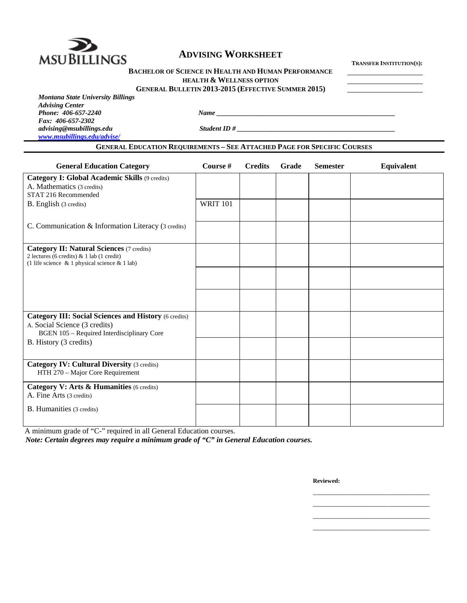

## **BACHELOR OF SCIENCE IN HEALTH AND HUMAN PERFORMANCE**

**HEALTH & WELLNESS OPTION**

 **GENERAL BULLETIN 2013-2015 (EFFECTIVE SUMMER 2015)** 

*Montana State University Billings Advising Center Fax: 406-657-2302* 

*advising@msubillings.edu Student ID # \_\_\_\_\_\_\_\_\_\_\_\_\_\_\_\_\_\_\_\_\_\_\_\_\_\_\_\_\_\_\_\_\_\_\_\_\_\_\_\_\_\_\_\_\_\_* 

*www.msubillings.edu/advise/*

**GENERAL EDUCATION REQUIREMENTS – SEE ATTACHED PAGE FOR SPECIFIC COURSES**

*Phone <i>Phone <i>Phone Phone Phone Phone Phone Phone Phone Phone Phone Phone Phone Phone Phone Phone Phone Phone Phone Phone Phone Phone Phon* 

| <b>General Education Category</b>                                                                                                                    | Course #        | <b>Credits</b> | Grade | <b>Semester</b> | Equivalent |
|------------------------------------------------------------------------------------------------------------------------------------------------------|-----------------|----------------|-------|-----------------|------------|
| <b>Category I: Global Academic Skills (9 credits)</b><br>A. Mathematics (3 credits)                                                                  |                 |                |       |                 |            |
| STAT 216 Recommended                                                                                                                                 |                 |                |       |                 |            |
| B. English (3 credits)                                                                                                                               | <b>WRIT 101</b> |                |       |                 |            |
| C. Communication & Information Literacy (3 credits)                                                                                                  |                 |                |       |                 |            |
| <b>Category II: Natural Sciences (7 credits)</b><br>2 lectures (6 credits) & 1 lab (1 credit)<br>(1 life science $\&$ 1 physical science $\&$ 1 lab) |                 |                |       |                 |            |
|                                                                                                                                                      |                 |                |       |                 |            |
|                                                                                                                                                      |                 |                |       |                 |            |
| <b>Category III: Social Sciences and History (6 credits)</b><br>A. Social Science (3 credits)<br><b>BGEN 105 - Required Interdisciplinary Core</b>   |                 |                |       |                 |            |
| B. History (3 credits)                                                                                                                               |                 |                |       |                 |            |
| <b>Category IV: Cultural Diversity (3 credits)</b><br>HTH 270 - Major Core Requirement                                                               |                 |                |       |                 |            |
| Category V: Arts & Humanities (6 credits)<br>A. Fine Arts (3 credits)                                                                                |                 |                |       |                 |            |
| <b>B.</b> Humanities (3 credits)                                                                                                                     |                 |                |       |                 |            |

 $\mathcal{L}_\mathcal{L}$  , which is a set of the set of the set of the set of the set of the set of the set of the set of the set of the set of the set of the set of the set of the set of the set of the set of the set of the set of  $\mathcal{L}_\text{max}$  , and the contract of the contract of the contract of the contract of the contract of the contract of the contract of the contract of the contract of the contract of the contract of the contract of the contr  $\mathcal{L}_\mathcal{L}$  , which is a set of the set of the set of the set of the set of the set of the set of the set of the set of the set of the set of the set of the set of the set of the set of the set of the set of the set of  $\mathcal{L}_\mathcal{L}$  , which is a set of the set of the set of the set of the set of the set of the set of the set of the set of the set of the set of the set of the set of the set of the set of the set of the set of the set of

 A minimum grade of "C-" required in all General Education courses. *Note: Certain degrees may require a minimum grade of "C" in General Education courses.* 

**Reviewed:**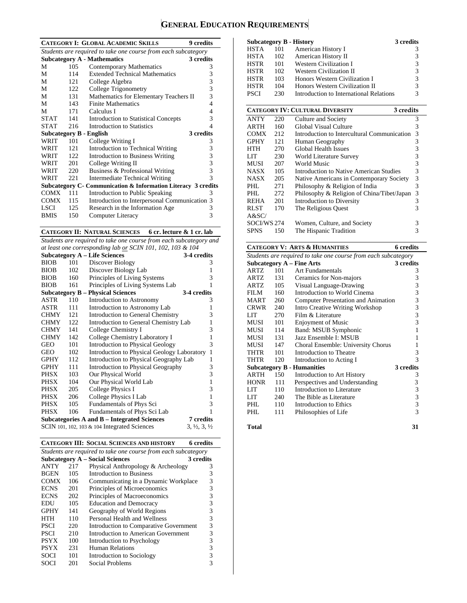# **GENERAL EDUCATION REQUIREMENTS**

| $105 -$ | Contemporary Mathematics                    | 3                                                                                                                                                                                                                                                                                                                                                                                      |
|---------|---------------------------------------------|----------------------------------------------------------------------------------------------------------------------------------------------------------------------------------------------------------------------------------------------------------------------------------------------------------------------------------------------------------------------------------------|
| 114     | <b>Extended Technical Mathematics</b>       | 3                                                                                                                                                                                                                                                                                                                                                                                      |
| 12.1    | College Algebra                             | 3                                                                                                                                                                                                                                                                                                                                                                                      |
|         | College Trigonometry                        | 3                                                                                                                                                                                                                                                                                                                                                                                      |
| 131     | Mathematics for Elementary Teachers II      | 3                                                                                                                                                                                                                                                                                                                                                                                      |
|         | <b>Finite Mathematics</b>                   | 4                                                                                                                                                                                                                                                                                                                                                                                      |
| 171     | Calculus I                                  | 4                                                                                                                                                                                                                                                                                                                                                                                      |
| STAT    | <b>Introduction to Statistical Concepts</b> | 3                                                                                                                                                                                                                                                                                                                                                                                      |
| 216     | Introduction to Statistics                  | 4                                                                                                                                                                                                                                                                                                                                                                                      |
|         |                                             |                                                                                                                                                                                                                                                                                                                                                                                        |
| 101     | College Writing I                           | 3                                                                                                                                                                                                                                                                                                                                                                                      |
| 121     | Introduction to Technical Writing           | 3                                                                                                                                                                                                                                                                                                                                                                                      |
| $122 -$ | Introduction to Business Writing            | 3                                                                                                                                                                                                                                                                                                                                                                                      |
| 201     | College Writing II                          | 3                                                                                                                                                                                                                                                                                                                                                                                      |
| 220     | Business & Professional Writing             | 3                                                                                                                                                                                                                                                                                                                                                                                      |
| 221     | <b>Intermediate Technical Writing</b>       | 3                                                                                                                                                                                                                                                                                                                                                                                      |
|         |                                             |                                                                                                                                                                                                                                                                                                                                                                                        |
| 111     | Introduction to Public Speaking             | 3                                                                                                                                                                                                                                                                                                                                                                                      |
|         |                                             |                                                                                                                                                                                                                                                                                                                                                                                        |
|         | Research in the Information Age             | 3                                                                                                                                                                                                                                                                                                                                                                                      |
| 150     | Computer Literacy                           | 3                                                                                                                                                                                                                                                                                                                                                                                      |
|         |                                             | <b>CATEGORY I: GLOBAL ACADEMIC SKILLS</b><br><b>9</b> credits<br>Students are required to take one course from each subcategory<br><b>Subcategory A - Mathematics</b><br>3 credits<br>122<br>143<br>141<br>3 credits<br><b>Subcategory B - English</b><br>Subcategory C- Communication & Information Literacy 3 credits<br>Introduction to Interpersonal Communication 3<br>115<br>125 |

**CATEGORY II: NATURAL SCIENCES 6 cr. lecture & 1 cr. lab** 

*Students are required to take one course from each subcategory and* 

| at least one corresponding lab or SCIN 101, 102, 103 & 104 |     |                                                                                     |              |  |
|------------------------------------------------------------|-----|-------------------------------------------------------------------------------------|--------------|--|
|                                                            |     | <b>Subcategory A – Life Sciences</b><br>3-4 credits                                 |              |  |
| <b>BIOB</b>                                                | 101 | Discover Biology                                                                    | 3            |  |
| <b>BIOB</b>                                                | 102 | Discover Biology Lab                                                                | 1            |  |
| <b>BIOB</b>                                                | 160 | Principles of Living Systems                                                        | 3            |  |
| <b>BIOB</b>                                                | 161 | Principles of Living Systems Lab                                                    | 1            |  |
|                                                            |     | <b>Subcategory B – Physical Sciences</b><br>3-4 credits                             |              |  |
| ASTR                                                       | 110 | Introduction to Astronomy                                                           | 3            |  |
| ASTR                                                       | 111 | Introduction to Astronomy Lab                                                       | 1            |  |
| <b>CHMY</b>                                                | 121 | <b>Introduction to General Chemistry</b>                                            | 3            |  |
| <b>CHMY</b>                                                | 122 | Introduction to General Chemistry Lab                                               | 1            |  |
| <b>CHMY</b>                                                | 141 | College Chemistry I                                                                 | 3            |  |
| <b>CHMY</b>                                                | 142 | College Chemistry Laboratory I                                                      | 1            |  |
| GEO                                                        | 101 | <b>Introduction to Physical Geology</b>                                             | 3            |  |
| GEO                                                        | 102 | Introduction to Physical Geology Laboratory                                         | $\mathbf{1}$ |  |
| <b>GPHY</b>                                                | 112 | Introduction to Physical Geography Lab                                              | 1            |  |
| <b>GPHY</b>                                                | 111 | Introduction to Physical Geography                                                  | 3            |  |
| <b>PHSX</b>                                                | 103 | Our Physical World                                                                  | 3            |  |
| PHSX                                                       | 104 | Our Physical World Lab                                                              | $\mathbf{1}$ |  |
| PHSX                                                       | 205 | College Physics I                                                                   | 3            |  |
| PHSX                                                       | 206 | College Physics I Lab                                                               | $\mathbf{1}$ |  |
| <b>PHSX</b>                                                | 105 | Fundamentals of Phys Sci                                                            | 3            |  |
| <b>PHSX</b>                                                | 106 | Fundamentals of Phys Sci Lab                                                        | 1            |  |
|                                                            |     | Subcategories A and B – Integrated Sciences<br>7 credits                            |              |  |
|                                                            |     | SCIN 101, 102, 103 $\&$ 104 Integrated Sciences<br>$3, \frac{1}{2}, 3, \frac{1}{2}$ |              |  |

|  | <b>CATEGORY III: SOCIAL SCIENCES AND HISTORY</b> | 6 credits |
|--|--------------------------------------------------|-----------|
|--|--------------------------------------------------|-----------|

| Students are required to take one course from each subcategory |     |                                        |           |  |  |
|----------------------------------------------------------------|-----|----------------------------------------|-----------|--|--|
|                                                                |     | <b>Subcategory A – Social Sciences</b> | 3 credits |  |  |
| <b>ANTY</b>                                                    | 217 | Physical Anthropology & Archeology     | 3         |  |  |
| <b>BGEN</b>                                                    | 105 | <b>Introduction to Business</b>        | 3         |  |  |
| <b>COMX</b>                                                    | 106 | Communicating in a Dynamic Workplace   | 3         |  |  |
| <b>ECNS</b>                                                    | 201 | Principles of Microeconomics           | 3         |  |  |
| <b>ECNS</b>                                                    | 202 | Principles of Macroeconomics           | 3         |  |  |
| <b>EDU</b>                                                     | 105 | <b>Education and Democracy</b>         | 3         |  |  |
| <b>GPHY</b>                                                    | 141 | Geography of World Regions             | 3         |  |  |
| HTH                                                            | 110 | Personal Health and Wellness           | 3         |  |  |
| <b>PSCI</b>                                                    | 220 | Introduction to Comparative Government | 3         |  |  |
| <b>PSCI</b>                                                    | 210 | Introduction to American Government    | 3         |  |  |
| <b>PSYX</b>                                                    | 100 | Introduction to Psychology             | 3         |  |  |
| <b>PSYX</b>                                                    | 231 | Human Relations                        | 3         |  |  |
| SOCI                                                           | 101 | Introduction to Sociology              | 3         |  |  |
| SOCI                                                           | 201 | Social Problems                        |           |  |  |

|      |     | Subcategory B - History                 | 3 credits |
|------|-----|-----------------------------------------|-----------|
| HSTA | 101 | American History I                      |           |
| HSTA | 102 | American History II                     | 3         |
| HSTR | 101 | <b>Western Civilization I</b>           | 3         |
| HSTR | 102 | <b>Western Civilization II</b>          | 3         |
| HSTR | 103 | Honors Western Civilization I           | 3         |
| HSTR | 104 | Honors Western Civilization II          | 3         |
| PSCI | 230 | Introduction to International Relations | 3         |
|      |     |                                         |           |

|             | <b>CATEGORY IV: CULTURAL DIVERSITY</b><br>3 credits |                                             |  |   |  |  |
|-------------|-----------------------------------------------------|---------------------------------------------|--|---|--|--|
| <b>ANTY</b> | 220                                                 | Culture and Society                         |  | 3 |  |  |
| ARTH        | 160                                                 | Global Visual Culture                       |  | 3 |  |  |
| <b>COMX</b> | 212                                                 | Introduction to Intercultural Communication |  | 3 |  |  |
| <b>GPHY</b> | 121                                                 | Human Geography                             |  | 3 |  |  |
| <b>HTH</b>  | 270                                                 | Global Health Issues                        |  | 3 |  |  |
| LIT         | 230                                                 | World Literature Survey                     |  | 3 |  |  |
| MUSI        | 207                                                 | World Music                                 |  | 3 |  |  |
| <b>NASX</b> | 105                                                 | Introduction to Native American Studies     |  | 3 |  |  |
| <b>NASX</b> | 205                                                 | Native Americans in Contemporary Society    |  | 3 |  |  |
| PHL         | 271                                                 | Philosophy & Religion of India              |  | 3 |  |  |
| PHI.        | 272                                                 | Philosophy & Religion of China/Tibet/Japan  |  | 3 |  |  |
| <b>REHA</b> | 201                                                 | Introduction to Diversity                   |  | 3 |  |  |
| <b>RLST</b> | 170                                                 | The Religious Quest                         |  | 3 |  |  |
| A&SC/       |                                                     |                                             |  |   |  |  |
| SOCI/WS 274 |                                                     | Women, Culture, and Society                 |  | 3 |  |  |
| <b>SPNS</b> | 150                                                 | The Hispanic Tradition                      |  |   |  |  |

|                                                                |     | <b>CATEGORY V: ARTS &amp; HUMANITIES</b>   | 6 credits                                  |  |  |
|----------------------------------------------------------------|-----|--------------------------------------------|--------------------------------------------|--|--|
| Students are required to take one course from each subcategory |     |                                            |                                            |  |  |
|                                                                |     | <b>Subcategory A - Fine Arts</b>           | 3 credits                                  |  |  |
| ARTZ                                                           | 101 | Art Fundamentals                           | 3                                          |  |  |
| ARTZ                                                           | 131 | Ceramics for Non-majors                    | 3                                          |  |  |
| <b>ARTZ</b>                                                    | 105 | Visual Language-Drawing                    | $\begin{array}{c} 3 \\ 3 \\ 3 \end{array}$ |  |  |
| FILM                                                           | 160 | Introduction to World Cinema               |                                            |  |  |
| <b>MART</b>                                                    | 260 | <b>Computer Presentation and Animation</b> |                                            |  |  |
| <b>CRWR</b>                                                    | 240 | Intro Creative Writing Workshop            | 3                                          |  |  |
| LIT                                                            | 270 | Film & Literature                          | 3                                          |  |  |
| MUSI                                                           | 101 | <b>Enjoyment of Music</b>                  | $\overline{3}$                             |  |  |
| <b>MUSI</b>                                                    | 114 | Band: MSUB Symphonic                       | 1                                          |  |  |
| MUSI                                                           | 131 | Jazz Ensemble I: MSUB                      | 1                                          |  |  |
| MUSI                                                           | 147 | Choral Ensemble: University Chorus         | 1                                          |  |  |
| THTR                                                           | 101 | Introduction to Theatre                    | 3                                          |  |  |
| THTR                                                           | 120 | Introduction to Acting I                   | 3                                          |  |  |
|                                                                |     | <b>Subcategory B - Humanities</b>          | 3 credits                                  |  |  |
| <b>ARTH</b>                                                    | 150 | Introduction to Art History                | 3                                          |  |  |
| <b>HONR</b>                                                    | 111 | Perspectives and Understanding             | 3                                          |  |  |
| LIT                                                            | 110 | Introduction to Literature                 | $\begin{array}{c} 3 \\ 3 \\ 3 \end{array}$ |  |  |
| LIT                                                            | 240 | The Bible as Literature                    |                                            |  |  |
| PHI.                                                           | 110 | Introduction to Ethics                     |                                            |  |  |
| PHL                                                            | 111 | Philosophies of Life                       | $\overline{3}$                             |  |  |
| Total                                                          |     |                                            | 31                                         |  |  |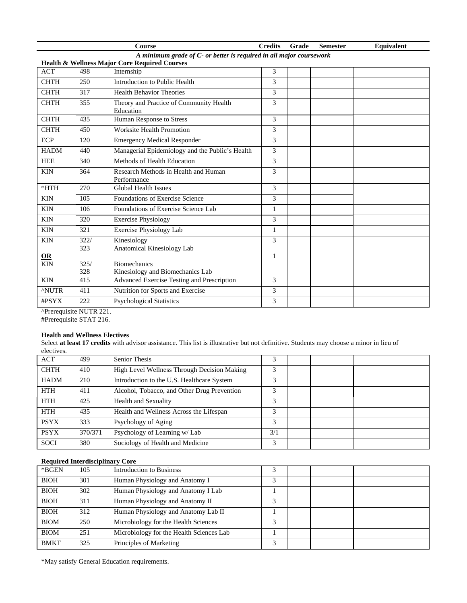|                                         |                                                                     | Course                                                   | <b>Credits</b> | Grade | <b>Semester</b> | Equivalent |  |  |
|-----------------------------------------|---------------------------------------------------------------------|----------------------------------------------------------|----------------|-------|-----------------|------------|--|--|
|                                         | A minimum grade of C- or better is required in all major coursework |                                                          |                |       |                 |            |  |  |
|                                         |                                                                     | <b>Health &amp; Wellness Major Core Required Courses</b> |                |       |                 |            |  |  |
| <b>ACT</b>                              | 498                                                                 | Internship                                               | 3              |       |                 |            |  |  |
| <b>CHTH</b>                             | 250                                                                 | Introduction to Public Health                            | 3              |       |                 |            |  |  |
| <b>CHTH</b>                             | 317                                                                 | <b>Health Behavior Theories</b>                          | 3              |       |                 |            |  |  |
| <b>CHTH</b>                             | 355                                                                 | Theory and Practice of Community Health<br>Education     | 3              |       |                 |            |  |  |
| <b>CHTH</b>                             | 435                                                                 | Human Response to Stress                                 | $\mathcal{Z}$  |       |                 |            |  |  |
| <b>CHTH</b>                             | 450                                                                 | Worksite Health Promotion                                | 3              |       |                 |            |  |  |
| <b>ECP</b>                              | 120                                                                 | <b>Emergency Medical Responder</b>                       | 3              |       |                 |            |  |  |
| <b>HADM</b>                             | 440                                                                 | Managerial Epidemiology and the Public's Health          | 3              |       |                 |            |  |  |
| <b>HEE</b>                              | 340                                                                 | Methods of Health Education                              | 3              |       |                 |            |  |  |
| <b>KIN</b>                              | 364                                                                 | Research Methods in Health and Human<br>Performance      | 3              |       |                 |            |  |  |
| $*$ HTH                                 | 270                                                                 | <b>Global Health Issues</b>                              | 3              |       |                 |            |  |  |
| <b>KIN</b>                              | 105                                                                 | Foundations of Exercise Science                          | 3              |       |                 |            |  |  |
| <b>KIN</b>                              | 106                                                                 | Foundations of Exercise Science Lab                      | 1              |       |                 |            |  |  |
| <b>KIN</b>                              | 320                                                                 | <b>Exercise Physiology</b>                               | 3              |       |                 |            |  |  |
| <b>KIN</b>                              | 321                                                                 | <b>Exercise Physiology Lab</b>                           | $\mathbf{1}$   |       |                 |            |  |  |
| <b>KIN</b>                              | 322/                                                                | Kinesiology                                              | 3              |       |                 |            |  |  |
|                                         | 323                                                                 | Anatomical Kinesiology Lab                               |                |       |                 |            |  |  |
| $\underline{\mathbf{OR}}$<br><b>KIN</b> | 325/                                                                | <b>Biomechanics</b>                                      | 1              |       |                 |            |  |  |
|                                         | 328                                                                 | Kinesiology and Biomechanics Lab                         |                |       |                 |            |  |  |
| <b>KIN</b>                              | 415                                                                 | <b>Advanced Exercise Testing and Prescription</b>        | 3              |       |                 |            |  |  |
| <b>ANUTR</b>                            | 411                                                                 | Nutrition for Sports and Exercise                        | 3              |       |                 |            |  |  |
| #PSYX                                   | 222                                                                 | <b>Psychological Statistics</b>                          | 3              |       |                 |            |  |  |

^Prerequisite NUTR 221.

## #Prerequisite STAT 216.

### **Health and Wellness Electives**

Select **at least 17 credits** with advisor assistance. This list is illustrative but not definitive. Students may choose a minor in lieu of electives.

| CRCCH VCS.  |         |                                             |     |  |  |
|-------------|---------|---------------------------------------------|-----|--|--|
| <b>ACT</b>  | 499     | <b>Senior Thesis</b>                        |     |  |  |
| <b>CHTH</b> | 410     | High Level Wellness Through Decision Making | 3   |  |  |
| <b>HADM</b> | 210     | Introduction to the U.S. Healthcare System  | 3   |  |  |
| <b>HTH</b>  | 411     | Alcohol, Tobacco, and Other Drug Prevention | 3   |  |  |
| <b>HTH</b>  | 425     | <b>Health and Sexuality</b>                 | 3   |  |  |
| <b>HTH</b>  | 435     | Health and Wellness Across the Lifespan     | 3   |  |  |
| <b>PSYX</b> | 333     | Psychology of Aging                         | 3   |  |  |
| <b>PSYX</b> | 370/371 | Psychology of Learning w/ Lab               | 3/1 |  |  |
| <b>SOCI</b> | 380     | Sociology of Health and Medicine            | 3   |  |  |
|             |         |                                             |     |  |  |

## **Required Interdisciplinary Core**

| *BGEN       | 105 | <b>Introduction to Business</b>          |   |  |  |
|-------------|-----|------------------------------------------|---|--|--|
| <b>BIOH</b> | 301 | Human Physiology and Anatomy I           |   |  |  |
| <b>BIOH</b> | 302 | Human Physiology and Anatomy I Lab       |   |  |  |
| <b>BIOH</b> | 311 | Human Physiology and Anatomy II          | 3 |  |  |
| <b>BIOH</b> | 312 | Human Physiology and Anatomy Lab II      |   |  |  |
| <b>BIOM</b> | 250 | Microbiology for the Health Sciences     | 3 |  |  |
| <b>BIOM</b> | 251 | Microbiology for the Health Sciences Lab |   |  |  |
| <b>BMKT</b> | 325 | Principles of Marketing                  | 3 |  |  |

\*May satisfy General Education requirements.